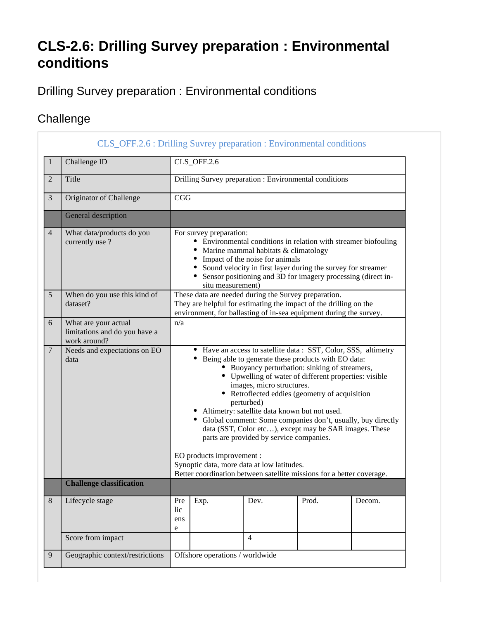## **CLS-2.6: Drilling Survey preparation : Environmental conditions**

Drilling Survey preparation : Environmental conditions

## **Challenge**

|                | CLS_OFF.2.6 : Drilling Suvrey preparation : Environmental conditions  |                                                                                                                                                                                                                                                                                                                                                                                                                                                                                                                                                                                                                                                                                                                |      |                |       |        |
|----------------|-----------------------------------------------------------------------|----------------------------------------------------------------------------------------------------------------------------------------------------------------------------------------------------------------------------------------------------------------------------------------------------------------------------------------------------------------------------------------------------------------------------------------------------------------------------------------------------------------------------------------------------------------------------------------------------------------------------------------------------------------------------------------------------------------|------|----------------|-------|--------|
| 1              | Challenge ID                                                          | CLS_OFF.2.6                                                                                                                                                                                                                                                                                                                                                                                                                                                                                                                                                                                                                                                                                                    |      |                |       |        |
| $\overline{2}$ | Title                                                                 | Drilling Survey preparation : Environmental conditions                                                                                                                                                                                                                                                                                                                                                                                                                                                                                                                                                                                                                                                         |      |                |       |        |
| 3              | Originator of Challenge                                               | CGG                                                                                                                                                                                                                                                                                                                                                                                                                                                                                                                                                                                                                                                                                                            |      |                |       |        |
|                | General description                                                   |                                                                                                                                                                                                                                                                                                                                                                                                                                                                                                                                                                                                                                                                                                                |      |                |       |        |
| $\overline{4}$ | What data/products do you<br>currently use?                           | For survey preparation:<br>• Environmental conditions in relation with streamer biofouling<br>• Marine mammal habitats & climatology<br>Impact of the noise for animals<br>Sound velocity in first layer during the survey for streamer<br>• Sensor positioning and 3D for imagery processing (direct in-<br>situ measurement)                                                                                                                                                                                                                                                                                                                                                                                 |      |                |       |        |
| 5              | When do you use this kind of<br>dataset?                              | These data are needed during the Survey preparation.<br>They are helpful for estimating the impact of the drilling on the<br>environment, for ballasting of in-sea equipment during the survey.                                                                                                                                                                                                                                                                                                                                                                                                                                                                                                                |      |                |       |        |
| 6              | What are your actual<br>limitations and do you have a<br>work around? | n/a                                                                                                                                                                                                                                                                                                                                                                                                                                                                                                                                                                                                                                                                                                            |      |                |       |        |
| $\overline{7}$ | Needs and expectations on EO<br>data                                  | • Have an access to satellite data : SST, Color, SSS, altimetry<br>• Being able to generate these products with EO data:<br>• Buoyancy perturbation: sinking of streamers,<br>• Upwelling of water of different properties: visible<br>images, micro structures.<br>• Retroflected eddies (geometry of acquisition<br>perturbed)<br>• Altimetry: satellite data known but not used.<br>• Global comment: Some companies don't, usually, buy directly<br>data (SST, Color etc), except may be SAR images. These<br>parts are provided by service companies.<br>EO products improvement :<br>Synoptic data, more data at low latitudes.<br>Better coordination between satellite missions for a better coverage. |      |                |       |        |
|                | <b>Challenge classification</b>                                       |                                                                                                                                                                                                                                                                                                                                                                                                                                                                                                                                                                                                                                                                                                                |      |                |       |        |
| $8\,$          | Lifecycle stage                                                       | Pre<br>lic<br>ens<br>e                                                                                                                                                                                                                                                                                                                                                                                                                                                                                                                                                                                                                                                                                         | Exp. | Dev.           | Prod. | Decom. |
|                | Score from impact                                                     |                                                                                                                                                                                                                                                                                                                                                                                                                                                                                                                                                                                                                                                                                                                |      | $\overline{4}$ |       |        |
| 9              | Geographic context/restrictions                                       | Offshore operations / worldwide                                                                                                                                                                                                                                                                                                                                                                                                                                                                                                                                                                                                                                                                                |      |                |       |        |